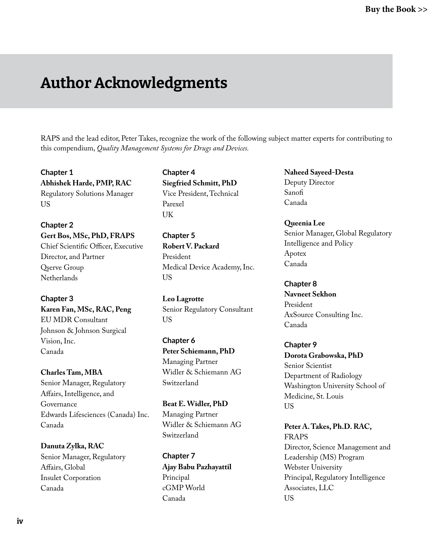# Author Acknowledgments

RAPS and the lead editor, Peter Takes, recognize the work of the following subject matter experts for contributing to this compendium, *Quality Management Systems for Drugs and Devices.* 

**Chapter 1 Abhishek Harde, PMP, RAC** Regulatory Solutions Manager US

**Chapter 2 Gert Bos, MSc, PhD, FRAPS** Chief Scientific Officer, Executive Director, and Partner Qserve Group **Netherlands** 

**Chapter 3 Karen Fan, MSc, RAC, Peng** EU MDR Consultant Johnson & Johnson Surgical Vision, Inc. Canada

**Charles Tam, MBA** Senior Manager, Regulatory Affairs, Intelligence, and Governance Edwards Lifesciences (Canada) Inc. Canada

**Danuta Zylka, RAC** Senior Manager, Regulatory Affairs, Global Insulet Corporation Canada

**Chapter 4 Siegfried Schmitt, PhD** Vice President, Technical Parexel **UK** 

**Chapter 5 Robert V. Packard** President Medical Device Academy, Inc. US

**Leo Lagrotte** Senior Regulatory Consultant US

**Chapter 6 Peter Schiemann, PhD**  Managing Partner Widler & Schiemann AG Switzerland

**Beat E. Widler, PhD**  Managing Partner Widler & Schiemann AG Switzerland

**Chapter 7 Ajay Babu Pazhayattil**  Principal cGMP World Canada

**Naheed Sayeed-Desta**  Deputy Director Sanofi Canada

**Queenia Lee**  Senior Manager, Global Regulatory Intelligence and Policy Apotex Canada

**Chapter 8 Navneet Sekhon** President AxSource Consulting Inc. Canada

**Chapter 9 Dorota Grabowska, PhD**  Senior Scientist Department of Radiology Washington University School of Medicine, St. Louis US

**Peter A. Takes, Ph.D. RAC,**  FRAPS Director, Science Management and Leadership (MS) Program Webster University Principal, Regulatory Intelligence Associates, LLC US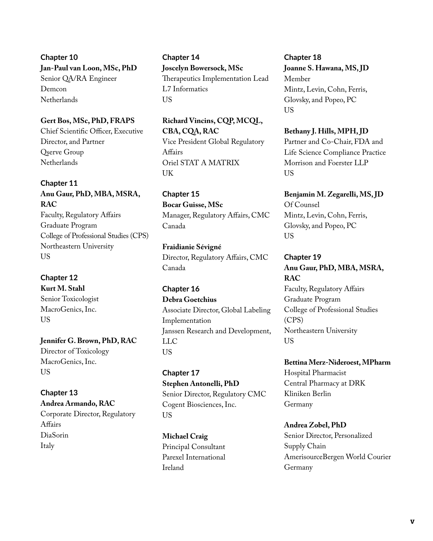**Chapter 10 Jan-Paul van Loon, MSc, PhD**  Senior QA/RA Engineer Demcon **Netherlands** 

#### **Gert Bos, MSc, PhD, FRAPS**

Chief Scientific Officer, Executive Director, and Partner Qserve Group Netherlands

# **Chapter 11**

# **Anu Gaur, PhD, MBA, MSRA, RAC** Faculty, Regulatory Affairs

Graduate Program College of Professional Studies (CPS) Northeastern University US

# **Chapter 12**

**Kurt M. Stahl**  Senior Toxicologist MacroGenics, Inc. US

**Jennifer G. Brown, PhD, RAC** Director of Toxicology MacroGenics, Inc. US

**Chapter 13 Andrea Armando, RAC** Corporate Director, Regulatory Affairs DiaSorin Italy

**Chapter 14 Joscelyn Bowersock, MSc** Therapeutics Implementation Lead L7 Informatics US

**Richard Vincins, CQP, MCQL, CBA, CQA, RAC** Vice President Global Regulatory Affairs Oriel STAT A MATRIX UK

**Chapter 15 Bocar Guisse, MSc** Manager, Regulatory Affairs, CMC Canada

**Fraidianie Sévigné** Director, Regulatory Affairs, CMC Canada

**Chapter 16 Debra Goetchius** Associate Director, Global Labeling Implementation Janssen Research and Development, LLC **US** 

**Chapter 17 Stephen Antonelli, PhD** Senior Director, Regulatory CMC Cogent Biosciences, Inc. US

**Michael Craig**  Principal Consultant Parexel International Ireland

**Chapter 18 Joanne S. Hawana, MS, JD** Member Mintz, Levin, Cohn, Ferris, Glovsky, and Popeo, PC US

**Bethany J. Hills, MPH, JD**  Partner and Co-Chair, FDA and Life Science Compliance Practice Morrison and Foerster LLP US

**Benjamin M. Zegarelli, MS, JD** Of Counsel Mintz, Levin, Cohn, Ferris, Glovsky, and Popeo, PC US

**Chapter 19 Anu Gaur, PhD, MBA, MSRA, RAC**

Faculty, Regulatory Affairs Graduate Program College of Professional Studies (CPS) Northeastern University **US** 

**Bettina Merz-Nideroest, MPharm** Hospital Pharmacist Central Pharmacy at DRK Kliniken Berlin Germany

**Andrea Zobel, PhD**

Senior Director, Personalized Supply Chain AmerisourceBergen World Courier Germany